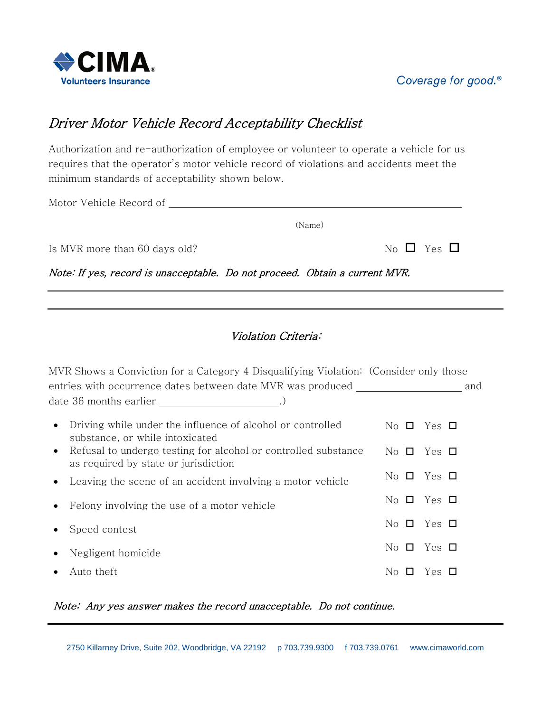

# Coverage for good.<sup>®</sup>

# Driver Motor Vehicle Record Acceptability Checklist

Authorization and re-authorization of employee or volunteer to operate a vehicle for us requires that the operator's motor vehicle record of violations and accidents meet the minimum standards of acceptability shown below.

Motor Vehicle Record of

Is MVR more than 60 days old?

|  | $\overline{\phantom{a}}$ |  |
|--|--------------------------|--|
|  |                          |  |

Note: If yes, record is unacceptable. Do not proceed. Obtain a current MVR.

## Violation Criteria:

(Name)

| MVR Shows a Conviction for a Category 4 Disqualifying Violation: (Consider only those                  |                         |                                                                                                                                                                                                                                                                                                                                                                                   |
|--------------------------------------------------------------------------------------------------------|-------------------------|-----------------------------------------------------------------------------------------------------------------------------------------------------------------------------------------------------------------------------------------------------------------------------------------------------------------------------------------------------------------------------------|
| entries with occurrence dates between date MVR was produced                                            |                         | and                                                                                                                                                                                                                                                                                                                                                                               |
|                                                                                                        |                         |                                                                                                                                                                                                                                                                                                                                                                                   |
| Driving while under the influence of alcohol or controlled<br>٠<br>substance, or while intoxicated     | $No$ $\Box$             | Yes $\Box$                                                                                                                                                                                                                                                                                                                                                                        |
| Refusal to undergo testing for alcohol or controlled substance<br>as required by state or jurisdiction | No O                    | Yes $\Box$                                                                                                                                                                                                                                                                                                                                                                        |
| Leaving the scene of an accident involving a motor vehicle                                             | $No$ $\Box$             | Yes $\Box$                                                                                                                                                                                                                                                                                                                                                                        |
| Felony involving the use of a motor vehicle                                                            | $\overline{N}$ o $\Box$ | Yes $\Box$                                                                                                                                                                                                                                                                                                                                                                        |
| Speed contest                                                                                          |                         | $\overline{N}$ D $\overline{Q}$ $\overline{Q}$ $\overline{Q}$ $\overline{Q}$ $\overline{Q}$ $\overline{Q}$ $\overline{Q}$ $\overline{Q}$ $\overline{Q}$ $\overline{Q}$ $\overline{Q}$ $\overline{Q}$ $\overline{Q}$ $\overline{Q}$ $\overline{Q}$ $\overline{Q}$ $\overline{Q}$ $\overline{Q}$ $\overline{Q}$ $\overline{Q}$ $\overline{Q}$ $\overline{Q}$ $\overline{Q}$ $\over$ |
| Negligent homicide                                                                                     | $\overline{N}$ $\Box$   | Yes □                                                                                                                                                                                                                                                                                                                                                                             |
| Auto theft                                                                                             | No l<br>$\mathbf{I}$    | Yes □                                                                                                                                                                                                                                                                                                                                                                             |

#### Note: Any yes answer makes the record unacceptable. Do not continue.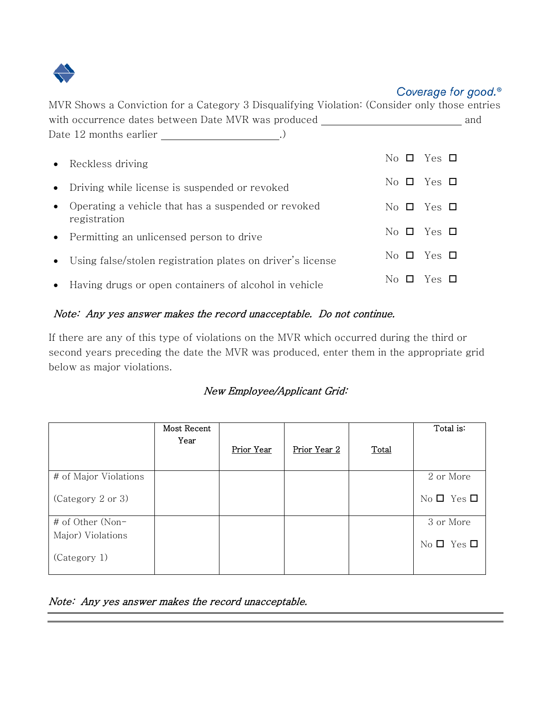

| MVR Shows a Conviction for a Category 3 Disqualifying Violation: (Consider only those entries |                                                                                                                                                                                                                                                                                                                                                                                      |
|-----------------------------------------------------------------------------------------------|--------------------------------------------------------------------------------------------------------------------------------------------------------------------------------------------------------------------------------------------------------------------------------------------------------------------------------------------------------------------------------------|
| with occurrence dates between Date MVR was produced<br>Date 12 months earlier                 | and                                                                                                                                                                                                                                                                                                                                                                                  |
| • Reckless driving                                                                            | $\overline{N}$ D $\overline{S}$ T $\overline{S}$                                                                                                                                                                                                                                                                                                                                     |
| Driving while license is suspended or revoked                                                 | $\overline{N}$ $\overline{O}$ $\overline{O}$ $\overline{O}$ $\overline{O}$ $\overline{O}$ $\overline{O}$ $\overline{O}$ $\overline{O}$ $\overline{O}$ $\overline{O}$ $\overline{O}$ $\overline{O}$ $\overline{O}$ $\overline{O}$ $\overline{O}$ $\overline{O}$ $\overline{O}$ $\overline{O}$ $\overline{O}$ $\overline{O}$ $\overline{O}$ $\overline{O}$ $\overline{O}$ $\overline{$ |
| Operating a vehicle that has a suspended or revoked<br>registration                           | $\overline{N}$ D $\overline{V}$ Pes $\Box$                                                                                                                                                                                                                                                                                                                                           |
| • Permitting an unlicensed person to drive                                                    | No $\Box$ Yes $\Box$                                                                                                                                                                                                                                                                                                                                                                 |
| Using false/stolen registration plates on driver's license                                    | No $\Box$ Yes $\Box$                                                                                                                                                                                                                                                                                                                                                                 |
| • Having drugs or open containers of alcohol in vehicle                                       | Yes □<br>$\overline{N}$ o $\Box$                                                                                                                                                                                                                                                                                                                                                     |

### Note: Any yes answer makes the record unacceptable. Do not continue.

If there are any of this type of violations on the MVR which occurred during the third or second years preceding the date the MVR was produced, enter them in the appropriate grid below as major violations.

#### New Employee/Applicant Grid:

|                       | Most Recent<br>Year | Prior Year | Prior Year 2 | Total | Total is:            |
|-----------------------|---------------------|------------|--------------|-------|----------------------|
|                       |                     |            |              |       |                      |
| # of Major Violations |                     |            |              |       | 2 or More            |
| (Category 2 or 3)     |                     |            |              |       | No $\Box$ Yes $\Box$ |
| # of Other (Non-      |                     |            |              |       | 3 or More            |
| Major) Violations     |                     |            |              |       | No $\Box$ Yes $\Box$ |
| (Category 1)          |                     |            |              |       |                      |

#### Note: Any yes answer makes the record unacceptable.